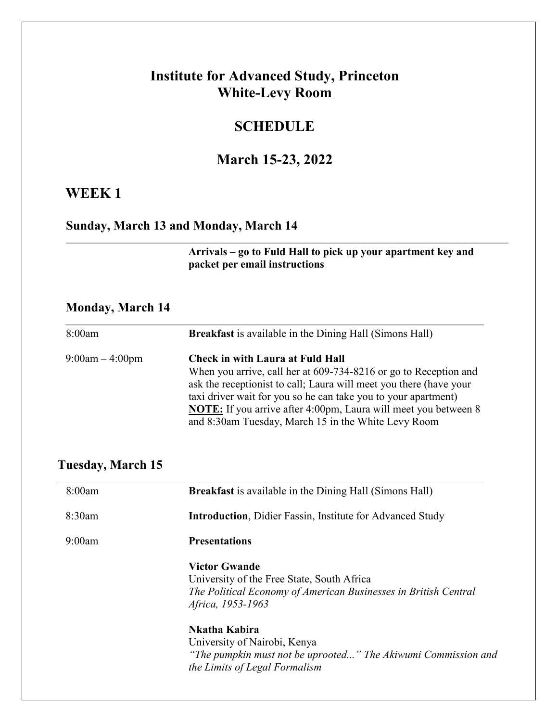### **Institute for Advanced Study, Princeton White-Levy Room**

#### **SCHEDULE**

#### **March 15-23, 2022**

#### **WEEK 1**

#### **Sunday, March 13 and Monday, March 14**

**Arrivals – go to Fuld Hall to pick up your apartment key and packet per email instructions**

#### **Monday, March 14**

| 8:00am            | <b>Breakfast</b> is available in the Dining Hall (Simons Hall)         |
|-------------------|------------------------------------------------------------------------|
| $9:00am - 4:00pm$ | <b>Check in with Laura at Fuld Hall</b>                                |
|                   | When you arrive, call her at 609-734-8216 or go to Reception and       |
|                   | ask the receptionist to call; Laura will meet you there (have your     |
|                   | taxi driver wait for you so he can take you to your apartment)         |
|                   | <b>NOTE:</b> If you arrive after 4:00pm, Laura will meet you between 8 |
|                   | and 8:30am Tuesday, March 15 in the White Levy Room                    |

#### **Tuesday, March 15**

| 8:00am | <b>Breakfast</b> is available in the Dining Hall (Simons Hall)                                                                                             |
|--------|------------------------------------------------------------------------------------------------------------------------------------------------------------|
| 8:30am | <b>Introduction, Didier Fassin, Institute for Advanced Study</b>                                                                                           |
| 9:00am | <b>Presentations</b>                                                                                                                                       |
|        | <b>Victor Gwande</b><br>University of the Free State, South Africa<br>The Political Economy of American Businesses in British Central<br>Africa, 1953-1963 |
|        | Nkatha Kabira<br>University of Nairobi, Kenya<br>"The pumpkin must not be uprooted" The Akiwumi Commission and<br>the Limits of Legal Formalism            |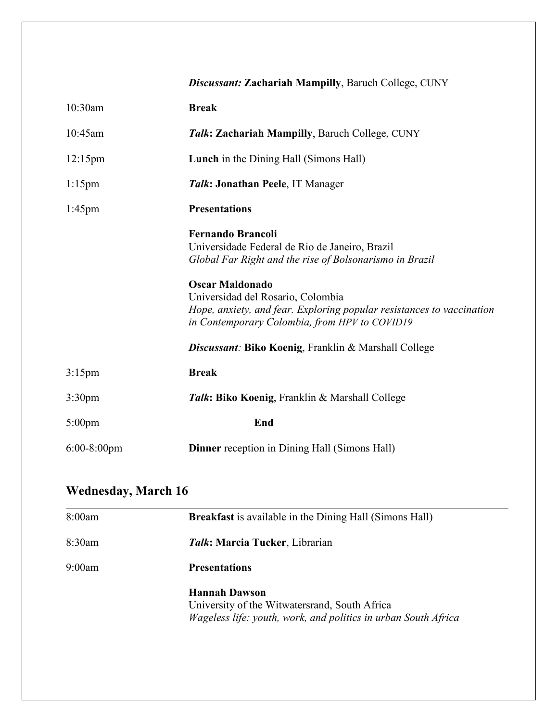|                    | <b>Discussant: Zachariah Mampilly, Baruch College, CUNY</b>                                                                                                                                                                                                                                                                                                                            |
|--------------------|----------------------------------------------------------------------------------------------------------------------------------------------------------------------------------------------------------------------------------------------------------------------------------------------------------------------------------------------------------------------------------------|
| 10:30am            | <b>Break</b>                                                                                                                                                                                                                                                                                                                                                                           |
| 10:45am            | Talk: Zachariah Mampilly, Baruch College, CUNY                                                                                                                                                                                                                                                                                                                                         |
| $12:15$ pm         | <b>Lunch</b> in the Dining Hall (Simons Hall)                                                                                                                                                                                                                                                                                                                                          |
| $1:15$ pm          | Talk: Jonathan Peele, IT Manager                                                                                                                                                                                                                                                                                                                                                       |
| $1:45$ pm          | <b>Presentations</b>                                                                                                                                                                                                                                                                                                                                                                   |
|                    | <b>Fernando Brancoli</b><br>Universidade Federal de Rio de Janeiro, Brazil<br>Global Far Right and the rise of Bolsonarismo in Brazil<br><b>Oscar Maldonado</b><br>Universidad del Rosario, Colombia<br>Hope, anxiety, and fear. Exploring popular resistances to vaccination<br>in Contemporary Colombia, from HPV to COVID19<br>Discussant: Biko Koenig, Franklin & Marshall College |
| $3:15$ pm          | <b>Break</b>                                                                                                                                                                                                                                                                                                                                                                           |
| 3:30 <sub>pm</sub> | Talk: Biko Koenig, Franklin & Marshall College                                                                                                                                                                                                                                                                                                                                         |
| $5:00$ pm          | End                                                                                                                                                                                                                                                                                                                                                                                    |
| $6:00-8:00$ pm     | <b>Dinner</b> reception in Dining Hall (Simons Hall)                                                                                                                                                                                                                                                                                                                                   |

## **Wednesday, March 16**

| 8:00am | <b>Breakfast</b> is available in the Dining Hall (Simons Hall)                                                                          |
|--------|-----------------------------------------------------------------------------------------------------------------------------------------|
| 8:30am | Talk: Marcia Tucker, Librarian                                                                                                          |
| 9:00am | <b>Presentations</b>                                                                                                                    |
|        | <b>Hannah Dawson</b><br>University of the Witwatersrand, South Africa<br>Wageless life: youth, work, and politics in urban South Africa |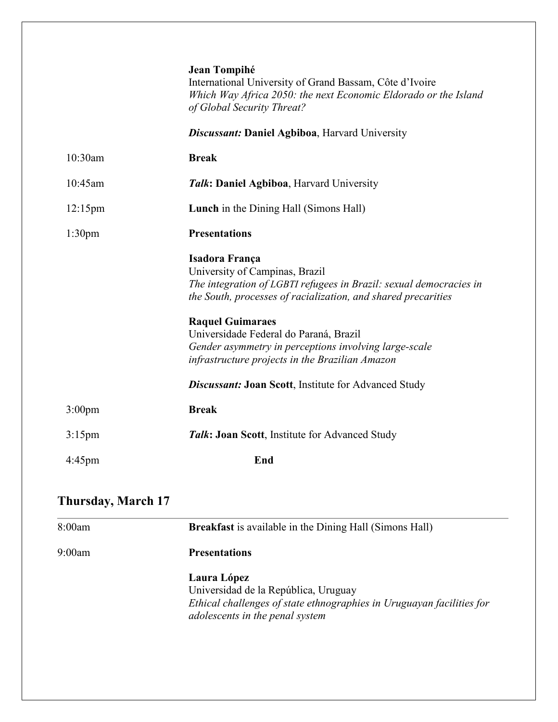|                    | Jean Tompihé<br>International University of Grand Bassam, Côte d'Ivoire<br>Which Way Africa 2050: the next Economic Eldorado or the Island<br>of Global Security Threat?                |
|--------------------|-----------------------------------------------------------------------------------------------------------------------------------------------------------------------------------------|
|                    | <b>Discussant: Daniel Agbiboa, Harvard University</b>                                                                                                                                   |
| 10:30am            | <b>Break</b>                                                                                                                                                                            |
| 10:45am            | Talk: Daniel Agbiboa, Harvard University                                                                                                                                                |
| $12:15$ pm         | <b>Lunch</b> in the Dining Hall (Simons Hall)                                                                                                                                           |
| 1:30 <sub>pm</sub> | <b>Presentations</b>                                                                                                                                                                    |
|                    | Isadora França<br>University of Campinas, Brazil<br>The integration of LGBTI refugees in Brazil: sexual democracies in<br>the South, processes of racialization, and shared precarities |
|                    | <b>Raquel Guimaraes</b><br>Universidade Federal do Paraná, Brazil<br>Gender asymmetry in perceptions involving large-scale<br>infrastructure projects in the Brazilian Amazon           |
|                    | <b>Discussant: Joan Scott</b> , Institute for Advanced Study                                                                                                                            |
| $3:00$ pm          | <b>Break</b>                                                                                                                                                                            |
| $3:15$ pm          | Talk: Joan Scott, Institute for Advanced Study                                                                                                                                          |
| $4:45$ pm          | End                                                                                                                                                                                     |

## **Thursday, March 17**

| 8:00am | <b>Breakfast</b> is available in the Dining Hall (Simons Hall)                                                                                                  |
|--------|-----------------------------------------------------------------------------------------------------------------------------------------------------------------|
| 9:00am | <b>Presentations</b>                                                                                                                                            |
|        | Laura López<br>Universidad de la República, Uruguay<br>Ethical challenges of state ethnographies in Uruguayan facilities for<br>adolescents in the penal system |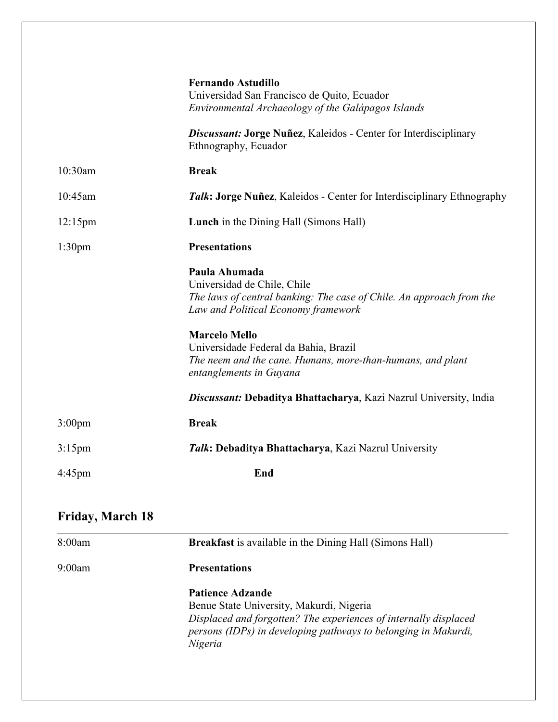|                    | <b>Fernando Astudillo</b><br>Universidad San Francisco de Quito, Ecuador<br>Environmental Archaeology of the Galápagos Islands                              |
|--------------------|-------------------------------------------------------------------------------------------------------------------------------------------------------------|
|                    | <b>Discussant: Jorge Nuñez, Kaleidos - Center for Interdisciplinary</b><br>Ethnography, Ecuador                                                             |
| 10:30am            | <b>Break</b>                                                                                                                                                |
| 10:45am            | Talk: Jorge Nuñez, Kaleidos - Center for Interdisciplinary Ethnography                                                                                      |
| $12:15$ pm         | <b>Lunch</b> in the Dining Hall (Simons Hall)                                                                                                               |
| 1:30 <sub>pm</sub> | <b>Presentations</b>                                                                                                                                        |
|                    | Paula Ahumada<br>Universidad de Chile, Chile<br>The laws of central banking: The case of Chile. An approach from the<br>Law and Political Economy framework |
|                    | <b>Marcelo Mello</b><br>Universidade Federal da Bahia, Brazil<br>The neem and the cane. Humans, more-than-humans, and plant<br>entanglements in Guyana      |
|                    | Discussant: Debaditya Bhattacharya, Kazi Nazrul University, India                                                                                           |
| 3:00 <sub>pm</sub> | <b>Break</b>                                                                                                                                                |
| $3:15$ pm          | Talk: Debaditya Bhattacharya, Kazi Nazrul University                                                                                                        |
| 4:45pm             | End                                                                                                                                                         |

## **Friday, March 18**

| 8:00am | <b>Breakfast</b> is available in the Dining Hall (Simons Hall)                                                                                                                                                       |
|--------|----------------------------------------------------------------------------------------------------------------------------------------------------------------------------------------------------------------------|
| 9:00am | <b>Presentations</b>                                                                                                                                                                                                 |
|        | <b>Patience Adzande</b><br>Benue State University, Makurdi, Nigeria<br>Displaced and forgotten? The experiences of internally displaced<br>persons (IDPs) in developing pathways to belonging in Makurdi,<br>Nigeria |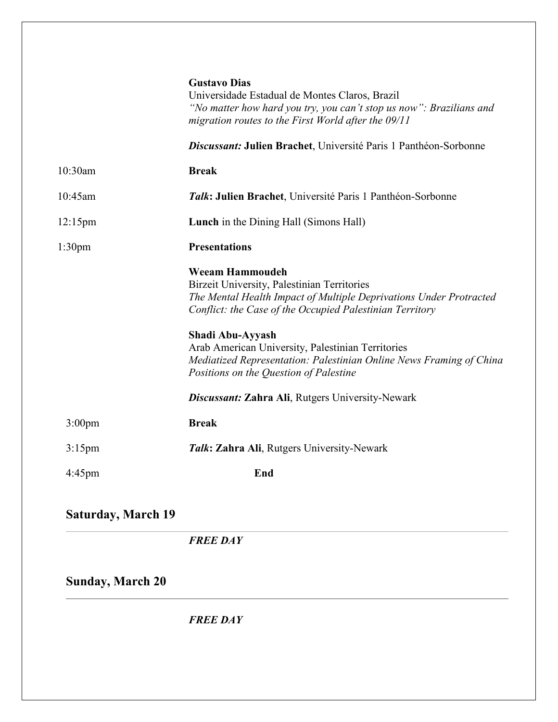|                           | <b>Gustavo Dias</b><br>Universidade Estadual de Montes Claros, Brazil<br>"No matter how hard you try, you can't stop us now": Brazilians and<br>migration routes to the First World after the 09/11     |
|---------------------------|---------------------------------------------------------------------------------------------------------------------------------------------------------------------------------------------------------|
|                           | <b>Discussant: Julien Brachet</b> , Université Paris 1 Panthéon-Sorbonne                                                                                                                                |
| 10:30am                   | <b>Break</b>                                                                                                                                                                                            |
| 10:45am                   | Talk: Julien Brachet, Université Paris 1 Panthéon-Sorbonne                                                                                                                                              |
| $12:15$ pm                | <b>Lunch</b> in the Dining Hall (Simons Hall)                                                                                                                                                           |
| 1:30 <sub>pm</sub>        | <b>Presentations</b>                                                                                                                                                                                    |
|                           | <b>Weeam Hammoudeh</b><br>Birzeit University, Palestinian Territories<br>The Mental Health Impact of Multiple Deprivations Under Protracted<br>Conflict: the Case of the Occupied Palestinian Territory |
|                           | Shadi Abu-Ayyash<br>Arab American University, Palestinian Territories<br>Mediatized Representation: Palestinian Online News Framing of China<br>Positions on the Question of Palestine                  |
|                           | <b>Discussant: Zahra Ali, Rutgers University-Newark</b>                                                                                                                                                 |
| 3:00 <sub>pm</sub>        | <b>Break</b>                                                                                                                                                                                            |
| $3:15$ pm                 | Talk: Zahra Ali, Rutgers University-Newark                                                                                                                                                              |
| 4:45pm                    | End                                                                                                                                                                                                     |
| <b>Saturday, March 19</b> |                                                                                                                                                                                                         |
|                           | <b>FREE DAY</b>                                                                                                                                                                                         |
| <b>Sunday, March 20</b>   |                                                                                                                                                                                                         |
|                           | <b>FREE DAY</b>                                                                                                                                                                                         |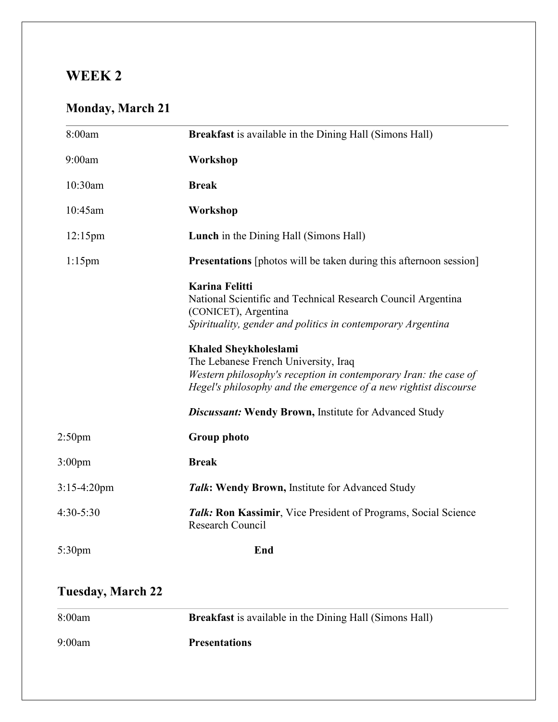## **WEEK 2**

## **Monday, March 21**

| 8:00am             | <b>Breakfast</b> is available in the Dining Hall (Simons Hall)                                                                                                                                                                                                                                                                                                                               |
|--------------------|----------------------------------------------------------------------------------------------------------------------------------------------------------------------------------------------------------------------------------------------------------------------------------------------------------------------------------------------------------------------------------------------|
| 9:00am             | Workshop                                                                                                                                                                                                                                                                                                                                                                                     |
| 10:30am            | <b>Break</b>                                                                                                                                                                                                                                                                                                                                                                                 |
| 10:45am            | Workshop                                                                                                                                                                                                                                                                                                                                                                                     |
| $12:15$ pm         | <b>Lunch</b> in the Dining Hall (Simons Hall)                                                                                                                                                                                                                                                                                                                                                |
| $1:15$ pm          | <b>Presentations</b> [photos will be taken during this afternoon session]                                                                                                                                                                                                                                                                                                                    |
|                    | <b>Karina Felitti</b><br>National Scientific and Technical Research Council Argentina<br>(CONICET), Argentina<br>Spirituality, gender and politics in contemporary Argentina<br><b>Khaled Sheykholeslami</b><br>The Lebanese French University, Iraq<br>Western philosophy's reception in contemporary Iran: the case of<br>Hegel's philosophy and the emergence of a new rightist discourse |
|                    | <b>Discussant: Wendy Brown, Institute for Advanced Study</b>                                                                                                                                                                                                                                                                                                                                 |
| 2:50 <sub>pm</sub> | <b>Group photo</b>                                                                                                                                                                                                                                                                                                                                                                           |
| 3:00 <sub>pm</sub> | <b>Break</b>                                                                                                                                                                                                                                                                                                                                                                                 |
| $3:15-4:20$ pm     | Talk: Wendy Brown, Institute for Advanced Study                                                                                                                                                                                                                                                                                                                                              |
| 4:30-5:30          | Talk: Ron Kassimir, Vice President of Programs, Social Science<br><b>Research Council</b>                                                                                                                                                                                                                                                                                                    |
| 5:30 <sub>pm</sub> | End                                                                                                                                                                                                                                                                                                                                                                                          |

## **Tuesday, March 22**

| 8:00am | <b>Breakfast</b> is available in the Dining Hall (Simons Hall) |
|--------|----------------------------------------------------------------|
| 9:00am | <b>Presentations</b>                                           |